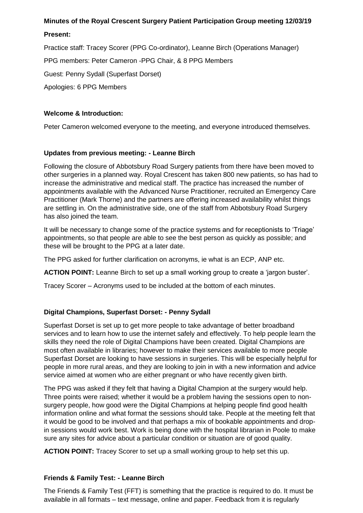## **Minutes of the Royal Crescent Surgery Patient Participation Group meeting 12/03/19**

### **Present:**

Practice staff: Tracey Scorer (PPG Co-ordinator), Leanne Birch (Operations Manager)

PPG members: Peter Cameron -PPG Chair, & 8 PPG Members

Guest: Penny Sydall (Superfast Dorset)

Apologies: 6 PPG Members

## **Welcome & Introduction:**

Peter Cameron welcomed everyone to the meeting, and everyone introduced themselves.

## **Updates from previous meeting: - Leanne Birch**

Following the closure of Abbotsbury Road Surgery patients from there have been moved to other surgeries in a planned way. Royal Crescent has taken 800 new patients, so has had to increase the administrative and medical staff. The practice has increased the number of appointments available with the Advanced Nurse Practitioner, recruited an Emergency Care Practitioner (Mark Thorne) and the partners are offering increased availability whilst things are settling in. On the administrative side, one of the staff from Abbotsbury Road Surgery has also joined the team.

It will be necessary to change some of the practice systems and for receptionists to 'Triage' appointments, so that people are able to see the best person as quickly as possible; and these will be brought to the PPG at a later date.

The PPG asked for further clarification on acronyms, ie what is an ECP, ANP etc.

**ACTION POINT:** Leanne Birch to set up a small working group to create a 'jargon buster'.

Tracey Scorer – Acronyms used to be included at the bottom of each minutes.

# **Digital Champions, Superfast Dorset: - Penny Sydall**

Superfast Dorset is set up to get more people to take advantage of better broadband services and to learn how to use the internet safely and effectively. To help people learn the skills they need the role of Digital Champions have been created. Digital Champions are most often available in libraries; however to make their services available to more people Superfast Dorset are looking to have sessions in surgeries. This will be especially helpful for people in more rural areas, and they are looking to join in with a new information and advice service aimed at women who are either pregnant or who have recently given birth.

The PPG was asked if they felt that having a Digital Champion at the surgery would help. Three points were raised; whether it would be a problem having the sessions open to nonsurgery people, how good were the Digital Champions at helping people find good health information online and what format the sessions should take. People at the meeting felt that it would be good to be involved and that perhaps a mix of bookable appointments and dropin sessions would work best. Work is being done with the hospital librarian in Poole to make sure any sites for advice about a particular condition or situation are of good quality.

**ACTION POINT:** Tracey Scorer to set up a small working group to help set this up.

### **Friends & Family Test: - Leanne Birch**

The Friends & Family Test (FFT) is something that the practice is required to do. It must be available in all formats – text message, online and paper. Feedback from it is regularly